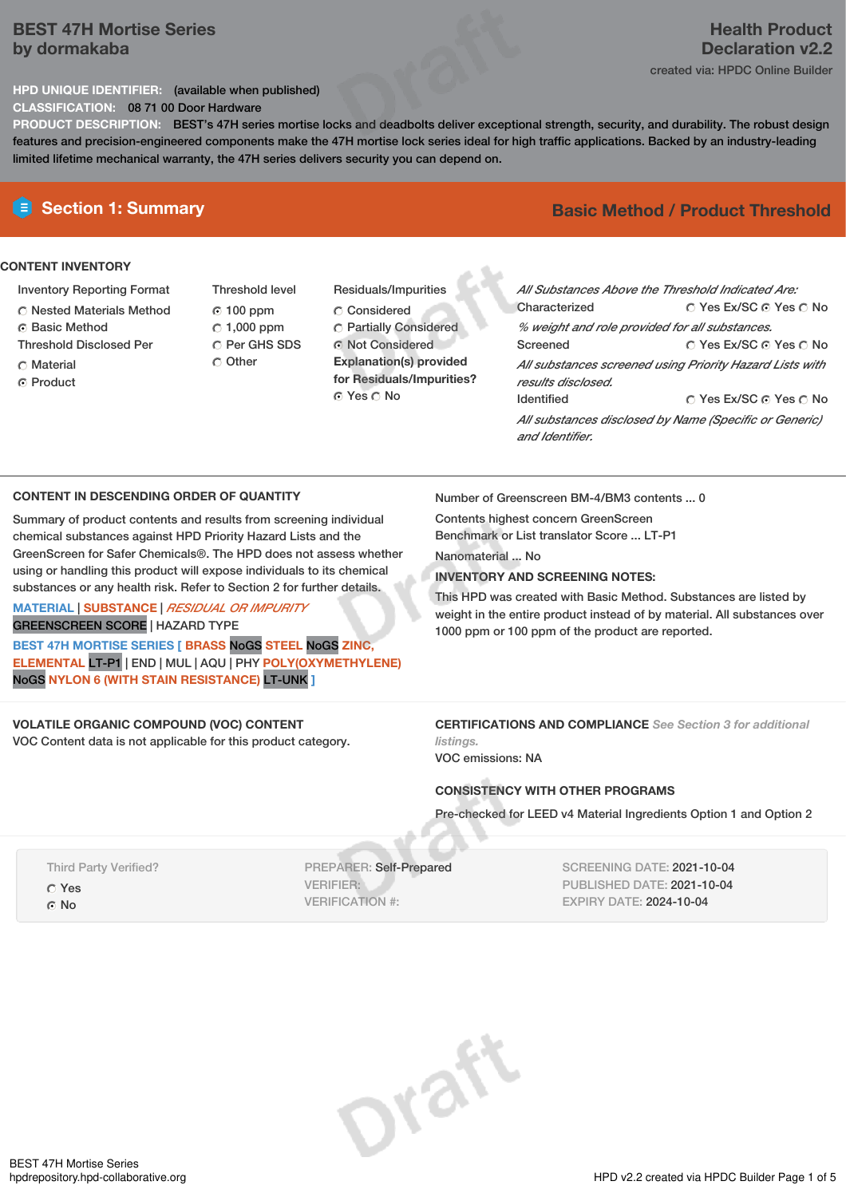# **BEST 47H Mortise Series by dormakaba**

# **Health Product Declaration v2.2**

created via: HPDC Online Builder

**HPD UNIQUE IDENTIFIER:** (available when published) **CLASSIFICATION:** 08 71 00 Door Hardware

**PRODUCT DESCRIPTION:** BEST's 47H series mortise locks and deadbolts deliver exceptional strength, security, and durability. The robust design features and precision-engineered components make the 47H mortise lock series ideal for high traffic applications. Backed by an industry-leading limited lifetime mechanical warranty, the 47H series delivers security you can depend on.

# **CONTENT INVENTORY**

- Inventory Reporting Format
- Nested Materials Method
- **C** Basic Method
- Threshold Disclosed Per
- C Material
- ⊙ Product
- Threshold level 100 ppm  $C$  1,000 ppm C Per GHS SDS C Other
- Residuals/Impurities C Considered Partially Considered Not Considered **Explanation(s) provided for Residuals/Impurities?** O Yes O No

# **E** Section 1: Summary **Basic** Method / Product Threshold

| All Substances Above the Threshold Indicated Are:<br>Characterized             | ∩ Yes Ex/SC ∩ Yes ∩ No |  |  |  |  |
|--------------------------------------------------------------------------------|------------------------|--|--|--|--|
| % weight and role provided for all substances.                                 |                        |  |  |  |  |
| Screened                                                                       | ∩ Yes Ex/SC ∩ Yes ∩ No |  |  |  |  |
| All substances screened using Priority Hazard Lists with<br>results disclosed. |                        |  |  |  |  |
| <b>Identified</b>                                                              | ∩ Yes Ex/SC ∩ Yes ∩ No |  |  |  |  |
| All substances disclosed by Name (Specific or Generic)<br>and Identifier.      |                        |  |  |  |  |

# **CONTENT IN DESCENDING ORDER OF QUANTITY**

Summary of product contents and results from screening individual chemical substances against HPD Priority Hazard Lists and the GreenScreen for Safer Chemicals®. The HPD does not assess whether using or handling this product will expose individuals to its chemical substances or any health risk. Refer to Section 2 for further details.

### **MATERIAL** | **SUBSTANCE** | *RESIDUAL OR IMPURITY* GREENSCREEN SCORE | HAZARD TYPE

**BEST 47H MORTISE SERIES [ BRASS** NoGS **STEEL** NoGS **ZINC, ELEMENTAL** LT-P1 | END | MUL | AQU | PHY **POLY(OXYMETHYLENE)** NoGS **NYLON 6 (WITH STAIN RESISTANCE)** LT-UNK **]**

# **VOLATILE ORGANIC COMPOUND (VOC) CONTENT**

VOC Content data is not applicable for this product category.

Number of Greenscreen BM-4/BM3 contents ... 0

Contents highest concern GreenScreen Benchmark or List translator Score ... LT-P1

Nanomaterial ... No

# **INVENTORY AND SCREENING NOTES:**

This HPD was created with Basic Method. Substances are listed by weight in the entire product instead of by material. All substances over 1000 ppm or 100 ppm of the product are reported.

**CERTIFICATIONS AND COMPLIANCE** *See Section 3 for additional listings.*

VOC emissions: NA

# **CONSISTENCY WITH OTHER PROGRAMS**

Pre-checked for LEED v4 Material Ingredients Option 1 and Option 2

Third Party Verified? Yes © No

PREPARER: Self-Prepared VERIFIER: VERIFICATION #:

SCREENING DATE: 2021-10-04 PUBLISHED DATE: 2021-10-04 EXPIRY DATE: 2024-10-04

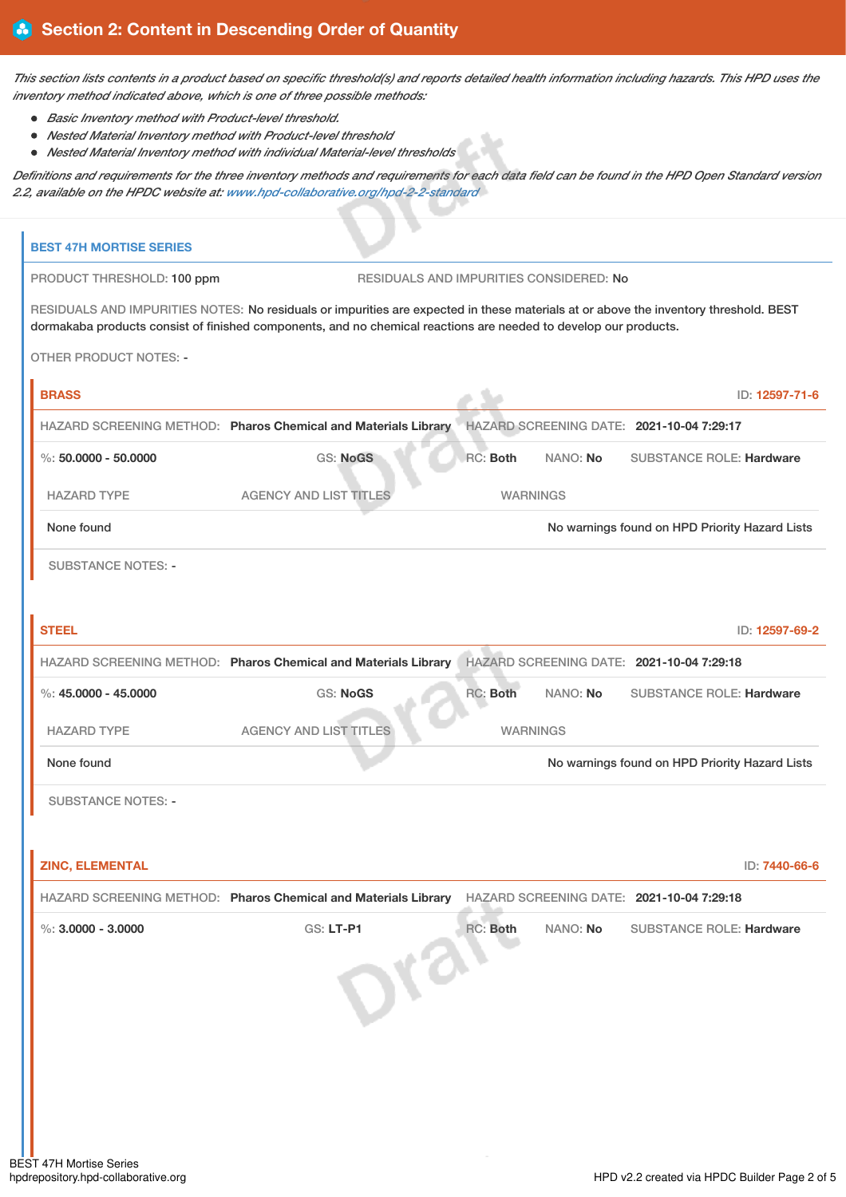This section lists contents in a product based on specific threshold(s) and reports detailed health information including hazards. This HPD uses the *inventory method indicated above, which is one of three possible methods:*

- *Basic Inventory method with Product-level threshold.*
- *Nested Material Inventory method with Product-level threshold*
- *Nested Material Inventory method with individual Material-level thresholds*

Definitions and requirements for the three inventory methods and requirements for each data field can be found in the HPD Open Standard version *2.2, available on the HPDC website at: [www.hpd-collaborative.org/hpd-2-2-standard](https://www.hpd-collaborative.org/hpd-2-2-standard)*

| <b>BEST 47H MORTISE SERIES</b>                                                                                                                                                                                                                           |                                                                                                                                      |                 |          |                                                |                |
|----------------------------------------------------------------------------------------------------------------------------------------------------------------------------------------------------------------------------------------------------------|--------------------------------------------------------------------------------------------------------------------------------------|-----------------|----------|------------------------------------------------|----------------|
| PRODUCT THRESHOLD: 100 ppm                                                                                                                                                                                                                               | RESIDUALS AND IMPURITIES CONSIDERED: No                                                                                              |                 |          |                                                |                |
| RESIDUALS AND IMPURITIES NOTES: No residuals or impurities are expected in these materials at or above the inventory threshold. BEST<br>dormakaba products consist of finished components, and no chemical reactions are needed to develop our products. |                                                                                                                                      |                 |          |                                                |                |
| <b>OTHER PRODUCT NOTES: -</b>                                                                                                                                                                                                                            |                                                                                                                                      |                 |          |                                                |                |
| <b>BRASS</b>                                                                                                                                                                                                                                             |                                                                                                                                      |                 |          |                                                | ID: 12597-71-6 |
|                                                                                                                                                                                                                                                          | HAZARD SCREENING METHOD: Pharos Chemical and Materials Library                                                                       |                 |          | HAZARD SCREENING DATE: 2021-10-04 7:29:17      |                |
| $\%$ : 50.0000 - 50.0000                                                                                                                                                                                                                                 | <b>GS: NoGS</b>                                                                                                                      | <b>RC: Both</b> | NANO: No | <b>SUBSTANCE ROLE: Hardware</b>                |                |
| <b>HAZARD TYPE</b>                                                                                                                                                                                                                                       | <b>AGENCY AND LIST TITLES</b>                                                                                                        | <b>WARNINGS</b> |          |                                                |                |
| None found                                                                                                                                                                                                                                               |                                                                                                                                      |                 |          | No warnings found on HPD Priority Hazard Lists |                |
| <b>SUBSTANCE NOTES: -</b>                                                                                                                                                                                                                                |                                                                                                                                      |                 |          |                                                |                |
| <b>STEEL</b>                                                                                                                                                                                                                                             |                                                                                                                                      |                 |          |                                                | ID: 12597-69-2 |
|                                                                                                                                                                                                                                                          | HAZARD SCREENING METHOD: Pharos Chemical and Materials Library                                                                       |                 |          | HAZARD SCREENING DATE: 2021-10-04 7:29:18      |                |
| %: $45.0000 - 45.0000$                                                                                                                                                                                                                                   | <b>GS: NoGS</b>                                                                                                                      | <b>RC: Both</b> | NANO: No | <b>SUBSTANCE ROLE: Hardware</b>                |                |
| <b>HAZARD TYPE</b>                                                                                                                                                                                                                                       | <b>AGENCY AND LIST TITLES</b>                                                                                                        | <b>WARNINGS</b> |          |                                                |                |
| None found                                                                                                                                                                                                                                               |                                                                                                                                      |                 |          | No warnings found on HPD Priority Hazard Lists |                |
| <b>SUBSTANCE NOTES: -</b>                                                                                                                                                                                                                                |                                                                                                                                      |                 |          |                                                |                |
|                                                                                                                                                                                                                                                          |                                                                                                                                      |                 |          |                                                |                |
|                                                                                                                                                                                                                                                          |                                                                                                                                      |                 |          |                                                |                |
|                                                                                                                                                                                                                                                          |                                                                                                                                      |                 |          |                                                |                |
|                                                                                                                                                                                                                                                          |                                                                                                                                      |                 |          |                                                |                |
|                                                                                                                                                                                                                                                          |                                                                                                                                      |                 |          |                                                |                |
|                                                                                                                                                                                                                                                          |                                                                                                                                      |                 |          |                                                |                |
|                                                                                                                                                                                                                                                          |                                                                                                                                      |                 |          |                                                |                |
|                                                                                                                                                                                                                                                          |                                                                                                                                      |                 |          |                                                |                |
|                                                                                                                                                                                                                                                          |                                                                                                                                      |                 |          |                                                |                |
| <b>ZINC, ELEMENTAL</b><br>%: $3.0000 - 3.0000$<br><b>EST 47H Mortise Series</b>                                                                                                                                                                          | HAZARD SCREENING METHOD: Pharos Chemical and Materials Library HAZARD SCREENING DATE: 2021-10-04 7:29:18<br><b>GS: LT-P1</b><br>Drai | RC: Both        | NANO: No | <b>SUBSTANCE ROLE: Hardware</b>                | ID: 7440-66-6  |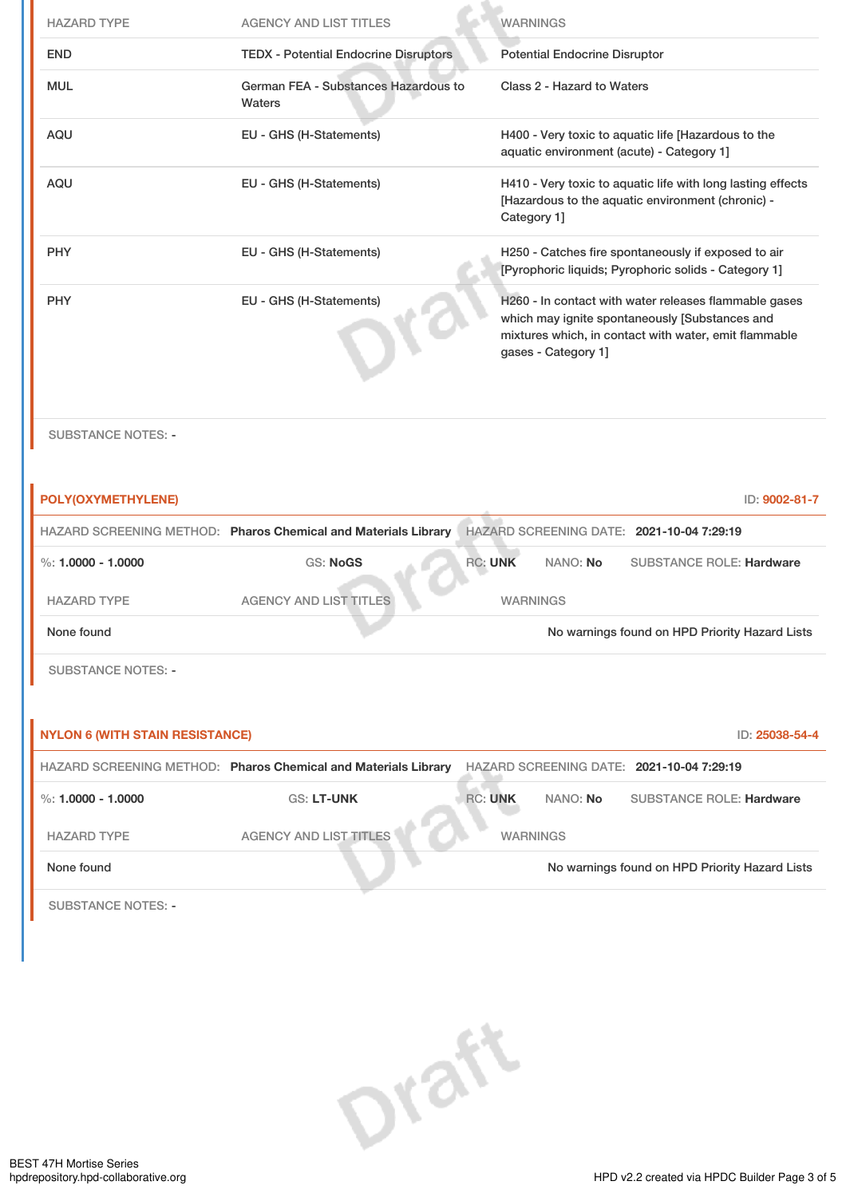| <b>HAZARD TYPE</b>                     | <b>AGENCY AND LIST TITLES</b>                                  | <b>WARNINGS</b>                                                                                                                                                                         |
|----------------------------------------|----------------------------------------------------------------|-----------------------------------------------------------------------------------------------------------------------------------------------------------------------------------------|
| <b>END</b>                             | <b>TEDX - Potential Endocrine Disruptors</b>                   | <b>Potential Endocrine Disruptor</b>                                                                                                                                                    |
| <b>MUL</b>                             | German FEA - Substances Hazardous to<br>Waters                 | Class 2 - Hazard to Waters                                                                                                                                                              |
| <b>AQU</b>                             | EU - GHS (H-Statements)                                        | H400 - Very toxic to aquatic life [Hazardous to the<br>aquatic environment (acute) - Category 1]                                                                                        |
| <b>AQU</b>                             | EU - GHS (H-Statements)                                        | H410 - Very toxic to aquatic life with long lasting effects<br>[Hazardous to the aquatic environment (chronic) -<br>Category 1]                                                         |
| <b>PHY</b>                             | EU - GHS (H-Statements)                                        | H250 - Catches fire spontaneously if exposed to air<br>[Pyrophoric liquids; Pyrophoric solids - Category 1]                                                                             |
| <b>PHY</b>                             | EU - GHS (H-Statements)                                        | H260 - In contact with water releases flammable gases<br>which may ignite spontaneously [Substances and<br>mixtures which, in contact with water, emit flammable<br>gases - Category 1] |
| <b>SUBSTANCE NOTES: -</b>              |                                                                |                                                                                                                                                                                         |
| POLY(OXYMETHYLENE)                     |                                                                | ID: 9002-81-7                                                                                                                                                                           |
|                                        | HAZARD SCREENING METHOD: Pharos Chemical and Materials Library | HAZARD SCREENING DATE: 2021-10-04 7:29:19                                                                                                                                               |
| %: $1.0000 - 1.0000$                   | <b>GS: NoGS</b>                                                | <b>RC: UNK</b><br>NANO: No<br><b>SUBSTANCE ROLE: Hardware</b>                                                                                                                           |
| <b>HAZARD TYPE</b>                     | <b>AGENCY AND LIST TITLES</b>                                  | <b>WARNINGS</b>                                                                                                                                                                         |
| None found                             |                                                                | No warnings found on HPD Priority Hazard Lists                                                                                                                                          |
| <b>SUBSTANCE NOTES: -</b>              |                                                                |                                                                                                                                                                                         |
| <b>NYLON 6 (WITH STAIN RESISTANCE)</b> |                                                                | ID: 25038-54-4                                                                                                                                                                          |
|                                        | HAZARD SCREENING METHOD: Pharos Chemical and Materials Library | HAZARD SCREENING DATE: 2021-10-04 7:29:19                                                                                                                                               |
| %: $1.0000 - 1.0000$                   | <b>GS: LT-UNK</b>                                              | <b>RC: UNK</b><br>NANO: No<br><b>SUBSTANCE ROLE: Hardware</b>                                                                                                                           |
| <b>HAZARD TYPE</b>                     | <b>AGENCY AND LIST TITLES</b>                                  | <b>WARNINGS</b>                                                                                                                                                                         |
| None found                             |                                                                | No warnings found on HPD Priority Hazard Lists                                                                                                                                          |
| <b>SUBSTANCE NOTES: -</b>              |                                                                |                                                                                                                                                                                         |

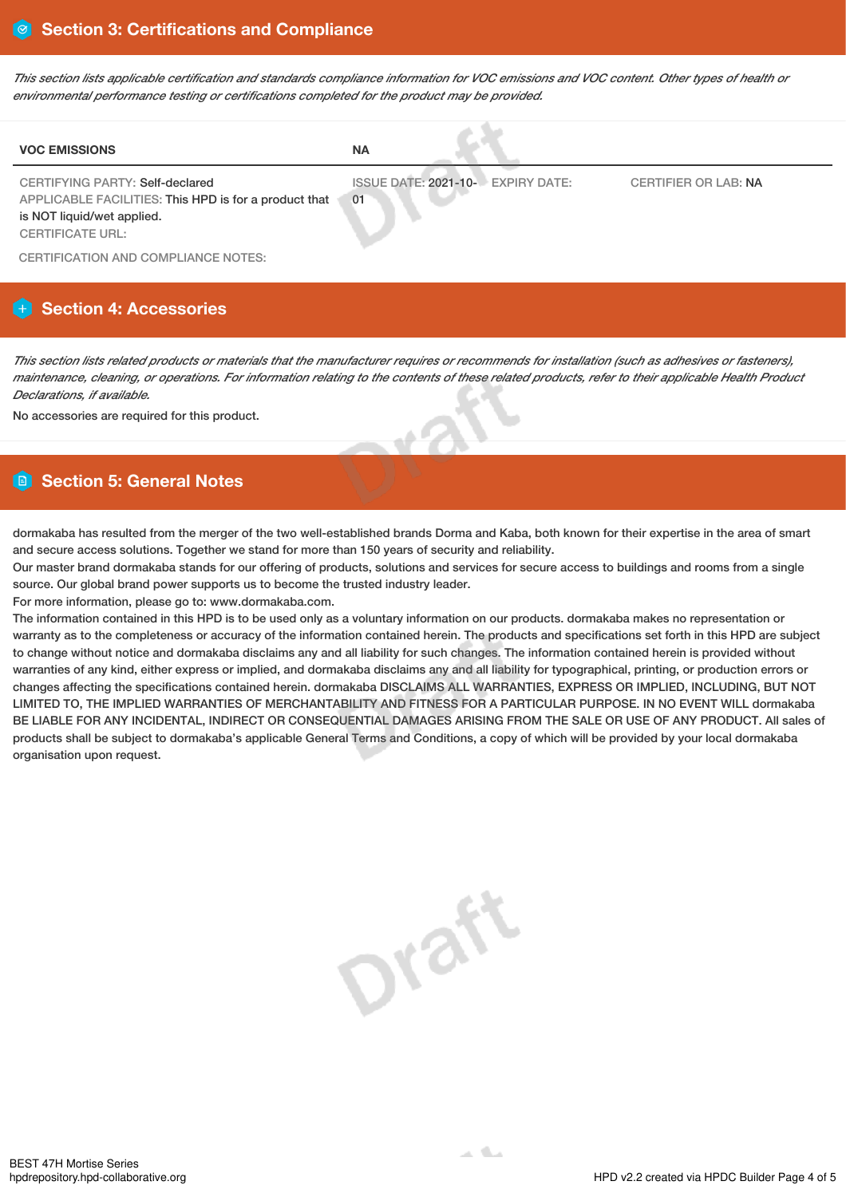This section lists applicable certification and standards compliance information for VOC emissions and VOC content. Other types of health or *environmental performance testing or certifications completed for the product may be provided.*

| <b>VOC EMISSIONS</b>                                                                                                                                     | <b>NA</b>                               |                             |
|----------------------------------------------------------------------------------------------------------------------------------------------------------|-----------------------------------------|-----------------------------|
| <b>CERTIFYING PARTY: Self-declared</b><br>APPLICABLE FACILITIES: This HPD is for a product that<br>is NOT liquid/wet applied.<br><b>CERTIFICATE URL:</b> | ISSUE DATE: 2021-10- EXPIRY DATE:<br>01 | <b>CERTIFIER OR LAB: NA</b> |
| CERTIFICATION AND COMPLIANCE NOTES:                                                                                                                      |                                         |                             |

# **Section 4: Accessories**

This section lists related products or materials that the manufacturer requires or recommends for installation (such as adhesives or fasteners), maintenance, cleaning, or operations. For information relating to the contents of these related products, refer to their applicable Health Product *Declarations, if available.*

No accessories are required for this product.

# **Section 5: General Notes**

dormakaba has resulted from the merger of the two well-established brands Dorma and Kaba, both known for their expertise in the area of smart and secure access solutions. Together we stand for more than 150 years of security and reliability.

Our master brand dormakaba stands for our offering of products, solutions and services for secure access to buildings and rooms from a single source. Our global brand power supports us to become the trusted industry leader.

For more information, please go to: www.dormakaba.com.

The information contained in this HPD is to be used only as a voluntary information on our products. dormakaba makes no representation or warranty as to the completeness or accuracy of the information contained herein. The products and specifications set forth in this HPD are subject to change without notice and dormakaba disclaims any and all liability for such changes. The information contained herein is provided without warranties of any kind, either express or implied, and dormakaba disclaims any and all liability for typographical, printing, or production errors or changes affecting the specifications contained herein. dormakaba DISCLAIMS ALL WARRANTIES, EXPRESS OR IMPLIED, INCLUDING, BUT NOT LIMITED TO, THE IMPLIED WARRANTIES OF MERCHANTABILITY AND FITNESS FOR A PARTICULAR PURPOSE. IN NO EVENT WILL dormakaba BE LIABLE FOR ANY INCIDENTAL, INDIRECT OR CONSEQUENTIAL DAMAGES ARISING FROM THE SALE OR USE OF ANY PRODUCT. All sales of products shall be subject to dormakaba's applicable General Terms and Conditions, a copy of which will be provided by your local dormakaba organisation upon request.

**Draft**